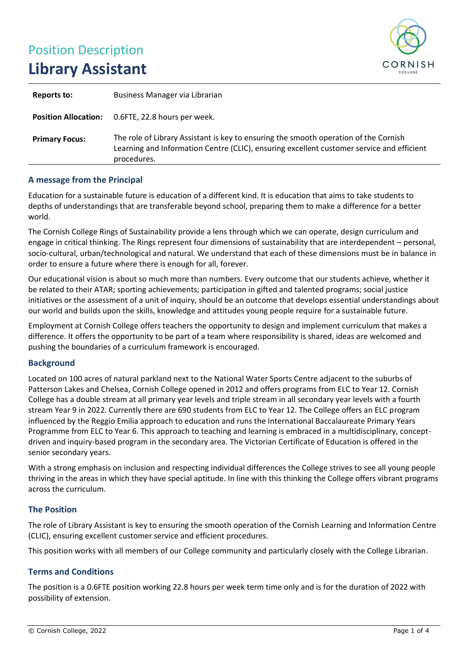# Position Description **Library Assistant**



| Reports to:           | Business Manager via Librarian                                                                                                                                                                   |
|-----------------------|--------------------------------------------------------------------------------------------------------------------------------------------------------------------------------------------------|
|                       | <b>Position Allocation:</b> 0.6FTE, 22.8 hours per week.                                                                                                                                         |
| <b>Primary Focus:</b> | The role of Library Assistant is key to ensuring the smooth operation of the Cornish<br>Learning and Information Centre (CLIC), ensuring excellent customer service and efficient<br>procedures. |

#### **A message from the Principal**

Education for a sustainable future is education of a different kind. It is education that aims to take students to depths of understandings that are transferable beyond school, preparing them to make a difference for a better world.

The Cornish College Rings of Sustainability provide a lens through which we can operate, design curriculum and engage in critical thinking. The Rings represent four dimensions of sustainability that are interdependent – personal, socio-cultural, urban/technological and natural. We understand that each of these dimensions must be in balance in order to ensure a future where there is enough for all, forever.

Our educational vision is about so much more than numbers. Every outcome that our students achieve, whether it be related to their ATAR; sporting achievements; participation in gifted and talented programs; social justice initiatives or the assessment of a unit of inquiry, should be an outcome that develops essential understandings about our world and builds upon the skills, knowledge and attitudes young people require for a sustainable future.

Employment at Cornish College offers teachers the opportunity to design and implement curriculum that makes a difference. It offers the opportunity to be part of a team where responsibility is shared, ideas are welcomed and pushing the boundaries of a curriculum framework is encouraged.

#### **Background**

Located on 100 acres of natural parkland next to the National Water Sports Centre adjacent to the suburbs of Patterson Lakes and Chelsea, Cornish College opened in 2012 and offers programs from ELC to Year 12. Cornish College has a double stream at all primary year levels and triple stream in all secondary year levels with a fourth stream Year 9 in 2022. Currently there are 690 students from ELC to Year 12. The College offers an ELC program influenced by the Reggio Emilia approach to education and runs the International Baccalaureate Primary Years Programme from ELC to Year 6. This approach to teaching and learning is embraced in a multidisciplinary, conceptdriven and inquiry-based program in the secondary area. The Victorian Certificate of Education is offered in the senior secondary years.

With a strong emphasis on inclusion and respecting individual differences the College strives to see all young people thriving in the areas in which they have special aptitude. In line with this thinking the College offers vibrant programs across the curriculum.

#### **The Position**

The role of Library Assistant is key to ensuring the smooth operation of the Cornish Learning and Information Centre (CLIC), ensuring excellent customer service and efficient procedures.

This position works with all members of our College community and particularly closely with the College Librarian.

#### **Terms and Conditions**

The position is a 0.6FTE position working 22.8 hours per week term time only and is for the duration of 2022 with possibility of extension.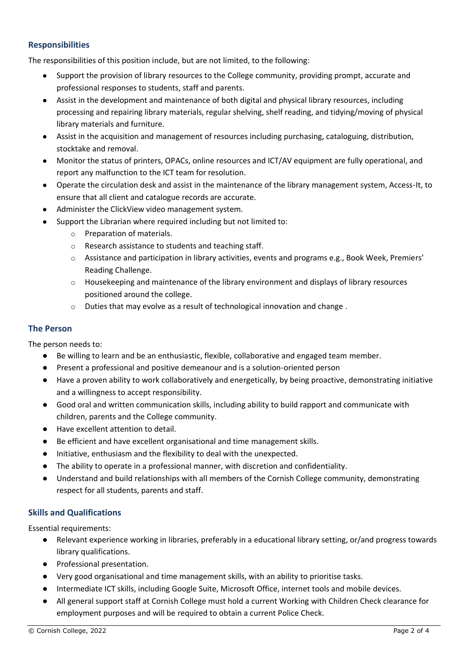## **Responsibilities**

The responsibilities of this position include, but are not limited, to the following:

- Support the provision of library resources to the College community, providing prompt, accurate and professional responses to students, staff and parents.
- Assist in the development and maintenance of both digital and physical library resources, including processing and repairing library materials, regular shelving, shelf reading, and tidying/moving of physical library materials and furniture.
- Assist in the acquisition and management of resources including purchasing, cataloguing, distribution, stocktake and removal.
- Monitor the status of printers, OPACs, online resources and ICT/AV equipment are fully operational, and report any malfunction to the ICT team for resolution.
- Operate the circulation desk and assist in the maintenance of the library management system, Access-It, to ensure that all client and catalogue records are accurate.
- Administer the ClickView video management system.
- Support the Librarian where required including but not limited to:
	- o Preparation of materials.
	- o Research assistance to students and teaching staff.
	- $\circ$  Assistance and participation in library activities, events and programs e.g., Book Week, Premiers' Reading Challenge.
	- $\circ$  Housekeeping and maintenance of the library environment and displays of library resources positioned around the college.
	- o Duties that may evolve as a result of technological innovation and change .

## **The Person**

The person needs to:

- Be willing to learn and be an enthusiastic, flexible, collaborative and engaged team member.
- Present a professional and positive demeanour and is a solution-oriented person
- Have a proven ability to work collaboratively and energetically, by being proactive, demonstrating initiative and a willingness to accept responsibility.
- Good oral and written communication skills, including ability to build rapport and communicate with children, parents and the College community.
- Have excellent attention to detail.
- Be efficient and have excellent organisational and time management skills.
- Initiative, enthusiasm and the flexibility to deal with the unexpected.
- The ability to operate in a professional manner, with discretion and confidentiality.
- Understand and build relationships with all members of the Cornish College community, demonstrating respect for all students, parents and staff.

#### **Skills and Qualifications**

Essential requirements:

- Relevant experience working in libraries, preferably in a educational library setting, or/and progress towards library qualifications.
- Professional presentation.
- Very good organisational and time management skills, with an ability to prioritise tasks.
- Intermediate ICT skills, including Google Suite, Microsoft Office, internet tools and mobile devices.
- All general support staff at Cornish College must hold a current Working with Children Check clearance for employment purposes and will be required to obtain a current Police Check.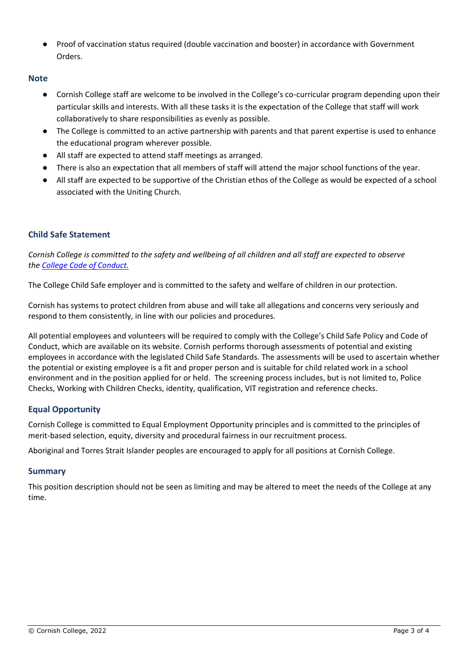● Proof of vaccination status required (double vaccination and booster) in accordance with Government Orders.

## **Note**

- Cornish College staff are welcome to be involved in the College's co-curricular program depending upon their particular skills and interests. With all these tasks it is the expectation of the College that staff will work collaboratively to share responsibilities as evenly as possible.
- The College is committed to an active partnership with parents and that parent expertise is used to enhance the educational program wherever possible.
- All staff are expected to attend staff meetings as arranged.
- There is also an expectation that all members of staff will attend the major school functions of the year.
- All staff are expected to be supportive of the Christian ethos of the College as would be expected of a school associated with the Uniting Church.

## **Child Safe Statement**

*Cornish College is committed to the safety and wellbeing of all children and all staff are expected to observe the [College Code of Conduct.](https://bck.csassurance.com/refdoc_atts/d4db5010-59df-0139-94a0-06c3e8eca7ae)*

The College Child Safe employer and is committed to the safety and welfare of children in our protection.

Cornish has systems to protect children from abuse and will take all allegations and concerns very seriously and respond to them consistently, in line with our policies and procedures.

All potential employees and volunteers will be required to comply with the College's Child Safe Policy and Code of Conduct, which are available on its website. Cornish performs thorough assessments of potential and existing employees in accordance with the legislated Child Safe Standards. The assessments will be used to ascertain whether the potential or existing employee is a fit and proper person and is suitable for child related work in a school environment and in the position applied for or held. The screening process includes, but is not limited to, Police Checks, Working with Children Checks, identity, qualification, VIT registration and reference checks.

## **Equal Opportunity**

Cornish College is committed to Equal Employment Opportunity principles and is committed to the principles of merit-based selection, equity, diversity and procedural fairness in our recruitment process.

Aboriginal and Torres Strait Islander peoples are encouraged to apply for all positions at Cornish College.

#### **Summary**

This position description should not be seen as limiting and may be altered to meet the needs of the College at any time.